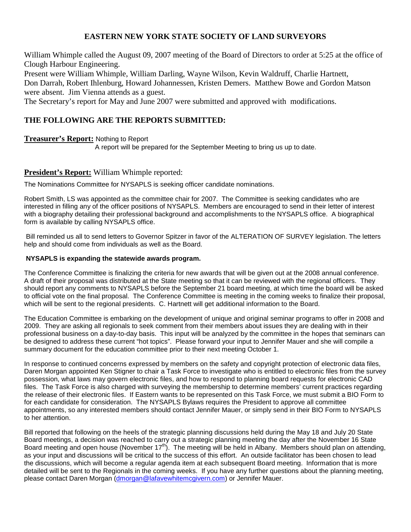# **EASTERN NEW YORK STATE SOCIETY OF LAND SURVEYORS**

William Whimple called the August 09, 2007 meeting of the Board of Directors to order at 5:25 at the office of Clough Harbour Engineering.

Present were William Whimple, William Darling, Wayne Wilson, Kevin Waldruff, Charlie Hartnett, Don Darrah, Robert Ihlenburg, Howard Johannessen, Kristen Demers. Matthew Bowe and Gordon Matson were absent. Jim Vienna attends as a guest.

The Secretary's report for May and June 2007 were submitted and approved with modifications.

# **THE FOLLOWING ARE THE REPORTS SUBMITTED:**

### **Treasurer's Report:** Nothing to Report

A report will be prepared for the September Meeting to bring us up to date.

### **President's Report:** William Whimple reported:

The Nominations Committee for NYSAPLS is seeking officer candidate nominations.

Robert Smith, LS was appointed as the committee chair for 2007. The Committee is seeking candidates who are interested in filling any of the officer positions of NYSAPLS. Members are encouraged to send in their letter of interest with a biography detailing their professional background and accomplishments to the NYSAPLS office. A biographical form is available by calling NYSAPLS office.

 Bill reminded us all to send letters to Governor Spitzer in favor of the ALTERATION OF SURVEY legislation. The letters help and should come from individuals as well as the Board.

### **NYSAPLS is expanding the statewide awards program.**

The Conference Committee is finalizing the criteria for new awards that will be given out at the 2008 annual conference. A draft of their proposal was distributed at the State meeting so that it can be reviewed with the regional officers. They should report any comments to NYSAPLS before the September 21 board meeting, at which time the board will be asked to official vote on the final proposal. The Conference Committee is meeting in the coming weeks to finalize their proposal, which will be sent to the regional presidents. C. Hartnett will get additional information to the Board.

The Education Committee is embarking on the development of unique and original seminar programs to offer in 2008 and 2009. They are asking all regionals to seek comment from their members about issues they are dealing with in their professional business on a day-to-day basis. This input will be analyzed by the committee in the hopes that seminars can be designed to address these current "hot topics". Please forward your input to Jennifer Mauer and she will compile a summary document for the education committee prior to their next meeting October 1.

In response to continued concerns expressed by members on the safety and copyright protection of electronic data files, Daren Morgan appointed Ken Stigner to chair a Task Force to investigate who is entitled to electronic files from the survey possession, what laws may govern electronic files, and how to respond to planning board requests for electronic CAD files. The Task Force is also charged with surveying the membership to determine members' current practices regarding the release of their electronic files. If Eastern wants to be represented on this Task Force, we must submit a BIO Form to for each candidate for consideration. The NYSAPLS Bylaws requires the President to approve all committee appointments, so any interested members should contact Jennifer Mauer, or simply send in their BIO Form to NYSAPLS to her attention.

Bill reported that following on the heels of the strategic planning discussions held during the May 18 and July 20 State Board meetings, a decision was reached to carry out a strategic planning meeting the day after the November 16 State Board meeting and open house (November  $17<sup>th</sup>$ ). The meeting will be held in Albany. Members should plan on attending, as your input and discussions will be critical to the success of this effort. An outside facilitator has been chosen to lead the discussions, which will become a regular agenda item at each subsequent Board meeting. Information that is more detailed will be sent to the Regionals in the coming weeks. If you have any further questions about the planning meeting, please contact Daren Morgan (dmorgan@lafavewhitemcgivern.com) or Jennifer Mauer.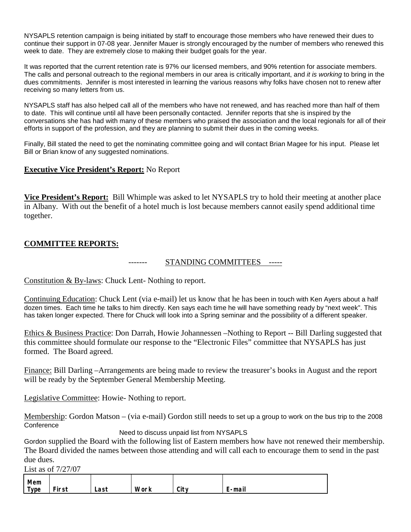NYSAPLS retention campaign is being initiated by staff to encourage those members who have renewed their dues to continue their support in 07-08 year. Jennifer Mauer is strongly encouraged by the number of members who renewed this week to date. They are extremely close to making their budget goals for the year.

It was reported that the current retention rate is 97% our licensed members, and 90% retention for associate members. The calls and personal outreach to the regional members in our area is critically important, and *it is working* to bring in the dues commitments. Jennifer is most interested in learning the various reasons why folks have chosen not to renew after receiving so many letters from us.

NYSAPLS staff has also helped call all of the members who have not renewed, and has reached more than half of them to date. This will continue until all have been personally contacted. Jennifer reports that she is inspired by the conversations she has had with many of these members who praised the association and the local regionals for all of their efforts in support of the profession, and they are planning to submit their dues in the coming weeks.

Finally, Bill stated the need to get the nominating committee going and will contact Brian Magee for his input. Please let Bill or Brian know of any suggested nominations.

## **Executive Vice President's Report:** No Report

**Vice President's Report:** Bill Whimple was asked to let NYSAPLS try to hold their meeting at another place in Albany. With out the benefit of a hotel much is lost because members cannot easily spend additional time together.

# **COMMITTEE REPORTS:**

### ------- STANDING COMMITTEES -----

Constitution & By-laws: Chuck Lent- Nothing to report.

Continuing Education: Chuck Lent (via e-mail) let us know that he has been in touch with Ken Ayers about a half dozen times. Each time he talks to him directly. Ken says each time he will have something ready by "next week". This has taken longer expected. There for Chuck will look into a Spring seminar and the possibility of a different speaker.

Ethics & Business Practice: Don Darrah, Howie Johannessen –Nothing to Report -- Bill Darling suggested that this committee should formulate our response to the "Electronic Files" committee that NYSAPLS has just formed. The Board agreed.

Finance: Bill Darling –Arrangements are being made to review the treasurer's books in August and the report will be ready by the September General Membership Meeting.

Legislative Committee: Howie- Nothing to report.

Membership: Gordon Matson – (via e-mail) Gordon still needs to set up a group to work on the bus trip to the 2008 Conference

Need to discuss unpaid list from NYSAPLS

Gordon supplied the Board with the following list of Eastern members how have not renewed their membership. The Board divided the names between those attending and will call each to encourage them to send in the past due dues.

List as of 7/27/07

| Mem  |       |      |      |            |                    |
|------|-------|------|------|------------|--------------------|
| Type | First | Last | Work | ≏itv<br>uu | . .<br>∶-mail<br>– |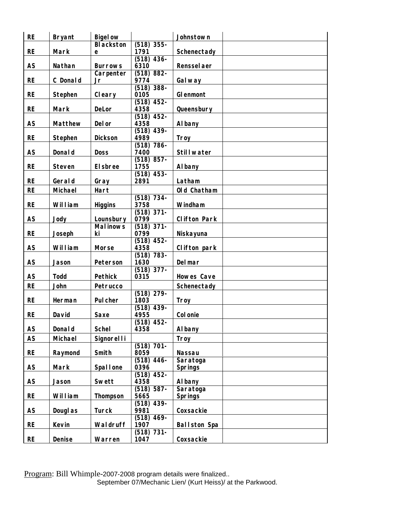| <b>RE</b> | <b>Bryant</b>  | <b>Bigelow</b>              |                          | Johnstown           |  |
|-----------|----------------|-----------------------------|--------------------------|---------------------|--|
|           |                | <b>Blackston</b>            | $(518)$ 355-             |                     |  |
| <b>RE</b> | Mark           | e                           | 1791                     | Schenectady         |  |
|           |                |                             | $(518)$ 436-             |                     |  |
| <b>AS</b> | Nathan         | <b>Burrows</b><br>Carpenter | 6310<br>$(518) 882 -$    | <b>Rensselaer</b>   |  |
| <b>RE</b> | C Donald       | Jr                          | 9774                     | Galway              |  |
|           |                |                             | $(518)$ 388-             |                     |  |
| <b>RE</b> | Stephen        | Cleary                      | 0105                     | Glenmont            |  |
|           |                |                             | $(518)$ 452-             |                     |  |
| <b>RE</b> | Mark           | DeLor                       | 4358                     | Queensbury          |  |
| <b>AS</b> | Matthew        | Delor                       | $(518)$ 452-<br>4358     |                     |  |
|           |                |                             | $(518)$ 439-             | Albany              |  |
| <b>RE</b> | Stephen        | <b>Dickson</b>              | 4989                     | Troy                |  |
|           |                |                             | $(518)$ 786-             |                     |  |
| <b>AS</b> | <b>Donald</b>  | <b>Doss</b>                 | 7400                     | <b>Stillwater</b>   |  |
|           |                |                             | $(518)$ 857-             |                     |  |
| <b>RE</b> | <b>Steven</b>  | Elsbree                     | 1755                     | Albany              |  |
|           |                |                             | $(518)$ 453-             |                     |  |
| <b>RE</b> | Gerald         | Gray                        | 2891                     | Latham              |  |
| <b>RE</b> | Michael        | Hart                        |                          | Old Chatham         |  |
| <b>RE</b> | William        | <b>Higgins</b>              | $(518) 734 -$<br>3758    | Windham             |  |
|           |                |                             | $(518)$ 371-             |                     |  |
| <b>AS</b> | Jody           | Lounsbury                   | 0799                     | <b>Clifton Park</b> |  |
|           |                | <b>Malinows</b>             | $(518)$ 371-             |                     |  |
| <b>RE</b> | Joseph         | ki                          | 0799                     | Niskayuna           |  |
|           |                |                             | $(518)$ 452-             |                     |  |
| AS        | William        | Morse                       | 4358                     | Clifton park        |  |
| <b>AS</b> | Jason          | Peterson                    | $(518)$ 783-<br>1630     | Delmar              |  |
|           |                |                             | $(518)$ 377-             |                     |  |
| AS        | <b>Todd</b>    | <b>Pethick</b>              | 0315                     | Howes Cave          |  |
| <b>RE</b> | John           | Petrucco                    |                          | Schenectady         |  |
|           |                |                             | $(518)$ 279-             |                     |  |
| <b>RE</b> | Herman         | Pulcher                     | 1803                     | Troy                |  |
|           |                |                             | $(518)$ 439-             |                     |  |
| <b>RE</b> | David          | Saxe                        | 4955                     | <b>Colonie</b>      |  |
| AS        | Donald         | <b>Schel</b>                | (518)<br>$452 -$<br>4358 | Albany              |  |
|           |                |                             |                          |                     |  |
| AS        | Michael        | <b>Signorelli</b>           | $(518)$ 701-             | Troy                |  |
| <b>RE</b> | Raymond        | Smith                       | 8059                     | <b>Nassau</b>       |  |
|           |                |                             | $(518)$ 446-             | Saratoga            |  |
| <b>AS</b> | Mark           | <b>Spallone</b>             | 0396                     | <b>Springs</b>      |  |
|           |                |                             | $(518)$ 452-             |                     |  |
| <b>AS</b> | Jason          | Swett                       | 4358                     | Albany              |  |
|           |                |                             | $(518) 587 -$            | Saratoga            |  |
| <b>RE</b> | William        | Thompson                    | 5665<br>$(518)$ 439-     | <b>Springs</b>      |  |
| <b>AS</b> | <b>Douglas</b> | <b>Turck</b>                | 9981                     | Coxsackie           |  |
|           |                |                             | $(518)$ 469-             |                     |  |
| <b>RE</b> | Kevin          | Waldruff                    | 1907                     | <b>Ballston Spa</b> |  |
|           |                |                             | $(518)$ 731-             |                     |  |
| <b>RE</b> | Denise         | Warren                      | 1047                     | Coxsackie           |  |

Program: Bill Whimple-2007-2008 program details were finalized.. September 07/Mechanic Lien/ (Kurt Heiss)/ at the Parkwood.